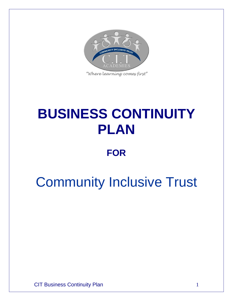

## **BUSINESS CONTINUITY PLAN**

## **FOR**

# Community Inclusive Trust

CIT Business Continuity Plan 1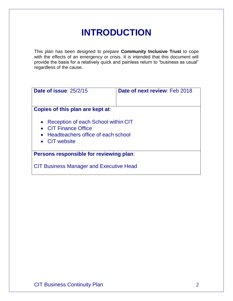## **INTRODUCTION**

This plan has been designed to prepare **Community Inclusive Trust** to cope with the effects of an emergency or crisis. It is intended that this document will provide the basis for a relatively quick and painless return to "business as usual" regardless of the cause.

| <b>Date of issue: 25/2/15</b>                                                                                          | Date of next review: Feb 2018 |  |
|------------------------------------------------------------------------------------------------------------------------|-------------------------------|--|
| Copies of this plan are kept at:                                                                                       |                               |  |
| • Reception of each School within CIT<br>• CIT Finance Office<br>• Headteachers office of each school<br>• CIT website |                               |  |
| Persons responsible for reviewing plan:                                                                                |                               |  |
| <b>CIT Business Manager and Executive Head</b>                                                                         |                               |  |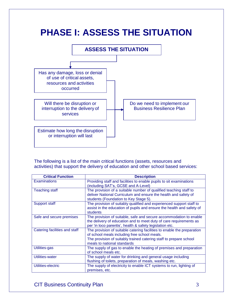

The following is a list of the main critical functions (assets, resources and activities) that support the delivery of education and other school based services:

| <b>Critical Function</b>      | <b>Description</b>                                                                                                                                                                                                           |
|-------------------------------|------------------------------------------------------------------------------------------------------------------------------------------------------------------------------------------------------------------------------|
| <b>Examinations</b>           | Providing staff and facilities to enable pupils to sit examinations<br>(including SAT's, GCSE and A-Level)                                                                                                                   |
| <b>Teaching staff</b>         | The provision of a suitable number of qualified teaching staff to<br>deliver National Curriculum and ensure the health and safety of<br>students (Foundation to Key Stage 5).                                                |
| Support staff                 | The provision of suitably qualified and experienced support staff to<br>assist in the education of pupils and ensure the health and safety of<br>students                                                                    |
| Safe and secure premises      | The provision of suitable, safe and secure accommodation to enable<br>the delivery of education and to meet duty of care requirements as<br>per 'in loco parentis', health & safety legislation etc.                         |
| Catering facilities and staff | The provision of suitable catering facilities to enable the preparation<br>of school meals including free school meals.<br>The provision of suitably trained catering staff to prepare school<br>meals to national standards |
| Utilities-gas                 | The supply of gas to enable the heating of premises and preparation<br>of school meals etc.                                                                                                                                  |
| Utilities-water               | The supply of water for drinking and general usage including<br>flushing of toilets, preparation of meals, washing etc.                                                                                                      |
| Utilities-electric            | The supply of electricity to enable ICT systems to run, lighting of<br>premises, etc.                                                                                                                                        |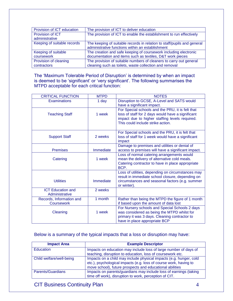| Provision of ICT education                | The provision of ICT to deliver education                                                                                     |
|-------------------------------------------|-------------------------------------------------------------------------------------------------------------------------------|
| <b>Provision of ICT</b><br>administrative | The provision of ICT to enable the establishment to run effectively                                                           |
| Keeping of suitable records               | The keeping of suitable records in relation to staff/pupils and general<br>administrative functions within an establishment   |
| Keeping of suitable<br>coursework         | The creation and safe keeping of coursework including electronic<br>documentation and items such as textiles, D&T work pieces |
| Provision of cleaning<br>contractors      | The provision of suitable numbers of cleaners to carry out general<br>cleaning such as toilets, waste collection and removal  |

The 'Maximum Tolerable Period of Disruption' is determined by when an impact is deemed to be 'significant' or 'very significant'. The following summarises the MTPD acceptable for each critical function:

| <b>CRITICAL FUNCTION</b>                      | <b>MTPD</b> | <b>NOTES</b>                                                                                                                                                                                 |
|-----------------------------------------------|-------------|----------------------------------------------------------------------------------------------------------------------------------------------------------------------------------------------|
| <b>Examinations</b>                           | 1 day       | Disruption to GCSE, A-Level and SATS would<br>have a significant impact.                                                                                                                     |
| <b>Teaching Staff</b>                         | 1 week      | For Special schools and the PRU, it is felt that<br>loss of staff for 2 days would have a significant<br>impact due to higher staffing levels required.<br>This could include strike action. |
| <b>Support Staff</b>                          | 2 weeks     | For Special schools and the PRU, it is felt that<br>loss of staff for 1 week would have a significant<br>impact                                                                              |
|                                               |             | Damage to premises and utilities or denial of                                                                                                                                                |
| <b>Premises</b>                               | Immediate   | access to premises will have a significant impact.                                                                                                                                           |
| Catering                                      | 1 week      | Loss of normal catering arrangements would<br>mean the delivery of alternative cold meals.<br>Catering contractor to have in place appropriate<br>BCP.                                       |
| <b>Utilities</b>                              | Immediate   | Loss of utilities, depending on circumstances may<br>result in immediate school closure, depending on<br>circumstances and seasonal factors (e.g. summer<br>or winter).                      |
| <b>ICT Education and</b><br>Administrative    | 2 weeks     |                                                                                                                                                                                              |
| Records, Information and<br><b>Coursework</b> | 1 month     | Rather than being the MTPD the figure of 1 month<br>if based upon the amount of data lost                                                                                                    |
| Cleaning                                      | 1 week      | For Nursery schools and Special Schools 2 days<br>was considered as being the MTPD whilst for<br>primary it was 3 days. Cleaning contractor to<br>have in place appropriate BCP              |

Below is a summary of the typical impacts that a loss or disruption may have:

| <b>Impact Area</b>       | <b>Example Descriptor</b>                                                                                                                                                                           |
|--------------------------|-----------------------------------------------------------------------------------------------------------------------------------------------------------------------------------------------------|
| <b>Education</b>         | Impacts on education may include loss of large number of days of<br>teaching, disruption to education, loss of coursework etc.                                                                      |
| Child welfare/well-being | Impacts on a child may include physical impacts (e.g. hunger, cold<br>etc.), psychological impacts (e.g. loss of course work, having to<br>move school), future prospects and educational abilities |
| <b>Parents/Guardians</b> | Impacts on parents/guardians may include loss of earnings (taking<br>time off work), disruption to work, perception of CIT.                                                                         |

#### CIT Business Continuity Plan 44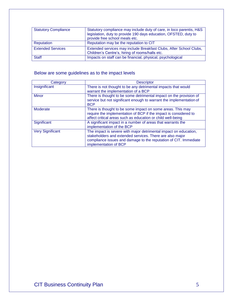| <b>Statutory Compliance</b> | Statutory compliance may include duty of care, in loco parentis, H&S<br>legislation, duty to provide 190 days education, OFSTED, duty to<br>provide free school meals etc. |
|-----------------------------|----------------------------------------------------------------------------------------------------------------------------------------------------------------------------|
| Reputation                  | Reputation may be the reputation to CIT                                                                                                                                    |
| <b>Extended Services</b>    | Extended services may include Breakfast Clubs, After School Clubs,<br>Children's Centre's, hiring of rooms/halls etc.                                                      |
| <b>Staff</b>                | Impacts on staff can be financial, physical, psychological                                                                                                                 |

#### Below are some guidelines as to the impact levels

| Category                | <b>Descriptor</b>                                                                                                                                                                                                         |
|-------------------------|---------------------------------------------------------------------------------------------------------------------------------------------------------------------------------------------------------------------------|
| Insignificant           | There is not thought to be any detrimental impacts that would<br>warrant the implementation of a BCP                                                                                                                      |
| <b>Minor</b>            | There is thought to be some detrimental impact on the provision of<br>service but not significant enough to warrant the implementation of<br><b>BCP</b>                                                                   |
| Moderate                | There is thought to be some impact on some areas. This may<br>require the implementation of BCP if the impact is considered to<br>affect critical areas such as education or child well-being                             |
| Significant             | A significant impact in a number of areas that warrants the<br>implementation of the BCP                                                                                                                                  |
| <b>Very Significant</b> | The impact is severe with major detrimental impact on education,<br>stakeholders and extended services. There are also major<br>compliance issues and damage to the reputation of CIT. Immediate<br>implementation of BCP |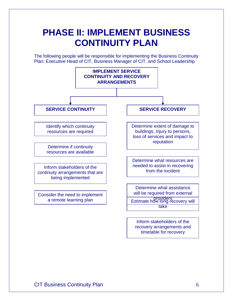## <span id="page-5-0"></span>**PHASE II: IMPLEMENT BUSINESS CONTINUITY PLAN**

The following people will be responsible for implementing the Business Continuity Plan: Executive Head of CIT, Business Manager of CIT, and School Leadership



recovery arrangements and timetable for recovery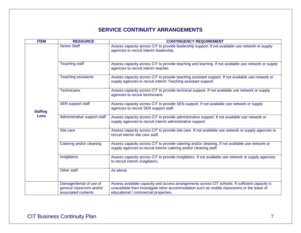#### **SERVICE CONTINUITY ARRANGEMENTS**

| <b>ITEM</b>     | <b>RESOURCE</b>                                                            | <b>CONTINGENCY REQUIREMENT</b>                                                                                                                                                                                                        |  |
|-----------------|----------------------------------------------------------------------------|---------------------------------------------------------------------------------------------------------------------------------------------------------------------------------------------------------------------------------------|--|
|                 | <b>Senior Staff</b>                                                        | Assess capacity across CIT to provide leadership support. If not available use network or supply<br>agencies to recruit interim leadership.                                                                                           |  |
|                 | <b>Teaching staff</b>                                                      | Assess capacity across CIT to provide teaching and learning. If not available use network or supply<br>agencies to recruit interim teacher.                                                                                           |  |
|                 | <b>Teaching assistants</b>                                                 | Assess capacity across CIT to provide teaching assistant support. If not available use network or<br>supply agencies to recruit interim Teaching assistant support.                                                                   |  |
|                 | <b>Technicians</b>                                                         | Assess capacity across CIT to provide technical support. If not available use network or supply<br>agencies to recruit technicians.                                                                                                   |  |
| <b>Staffing</b> | <b>SEN</b> support staff                                                   | Assess capacity across CIT to provide SEN support. If not available use network or supply<br>agencies to recruit SEN support staff.                                                                                                   |  |
| <b>Loss</b>     | Administrative support staff                                               | Assess capacity across CIT to provide administrative support. If not available use network or<br>supply agencies to recruit interim administrative support.                                                                           |  |
|                 | Site care                                                                  | Assess capacity across CIT to provide site care. If not available use network or supply agencies to<br>recruit interim site care staff.                                                                                               |  |
|                 | Catering and/or cleaning                                                   | Assess capacity across CIT to provide catering and/or cleaning. If not available use network or<br>supply agencies to recruit interim catering and/or cleaning staff.                                                                 |  |
|                 | Invigilators                                                               | Assess capacity across CIT to provide invigilators. If not available use network or supply agencies<br>to recruit interim invigilators.                                                                                               |  |
|                 | Other staff                                                                | As above                                                                                                                                                                                                                              |  |
|                 | Damage/denial of use of<br>general classroom and/or<br>associated contents | Assess available capacity and access arrangements across CIT schools. If sufficient capacity is<br>unavailable then investigate other accommodation such as mobile classrooms or the lease of<br>educational / commercial properties. |  |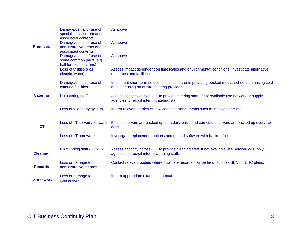|                   | Damage/denial of use of<br>specialist classroom and/or<br>associated contents | As above                                                                                                                                      |
|-------------------|-------------------------------------------------------------------------------|-----------------------------------------------------------------------------------------------------------------------------------------------|
| <b>Premises</b>   | Damage/denial of use of<br>administrative areas and/or<br>associated contents | As above                                                                                                                                      |
|                   | Damage/denial of use of<br>some common parts (e.g.<br>hall for examinations)  | As above                                                                                                                                      |
|                   | Loss of utilities (gas,<br>electric, water)                                   | Assess impact dependent on timescales and environmental conditions. Investigate alternative<br>resources and facilities.                      |
|                   | Damage/denial of use of<br>catering facilities                                | Implement short-term solutions such as parents providing packed meals, school purchasing cold<br>meals or using an offsite catering provider. |
| <b>Catering</b>   | No catering staff                                                             | Assess capacity across CIT to provide catering staff. If not available use network or supply<br>agencies to recruit interim catering staff.   |
|                   | Loss of telephony system                                                      | Inform relevant parties of new contact arrangements such as mobiles or e-mail.                                                                |
| <b>ICT</b>        | Loss of I.T servers/software                                                  | Finance servers are backed up on a daily basis and curriculum servers are backed up every two<br>days.                                        |
|                   | Loss of I.T hardware                                                          | Investigate replacement options and re load software with backup files.                                                                       |
| <b>Cleaning</b>   | No cleaning staff available                                                   | Assess capacity across CIT to provide cleaning staff. If not available use network or supply<br>agencies to recruit interim cleaning staff.   |
| <b>Records</b>    | Loss or damage to<br>administrative records                                   | Contact relevant bodies where duplicate records may be held, such as SEN for EHC plans.                                                       |
| <b>Coursework</b> | Loss or damage to<br>coursework                                               | Inform appropriate examination boards.                                                                                                        |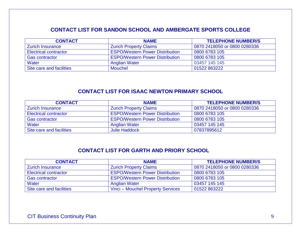#### **CONTACT LIST FOR SANDON SCHOOL AND AMBERGATE SPORTS COLLEGE**

| <b>CONTACT</b>               | <b>NAME</b>                            | <b>TELEPHONE NUMBER/S</b>    |
|------------------------------|----------------------------------------|------------------------------|
| <b>Zurich Insurance</b>      | <b>Zurich Property Claims</b>          | 0870 2418050 or 0800 0280336 |
| <b>Electrical contractor</b> | <b>ESPO/Western Power Distribution</b> | 0800 6783 105                |
| <b>Gas contractor</b>        | <b>ESPO/Western Power Distribution</b> | 0800 6783 105                |
| <b>Water</b>                 | <b>Anglian Water</b>                   | 03457 145 145                |
| Site care and facilities     | <b>Mouchel</b>                         | 01522863222                  |

#### **CONTACT LIST FOR ISAAC NEWTON PRIMARY SCHOOL**

| <b>CONTACT</b>               | <b>NAME</b>                            | <b>TELEPHONE NUMBER/S</b>    |
|------------------------------|----------------------------------------|------------------------------|
| <b>Zurich Insurance</b>      | <b>Zurich Property Claims</b>          | 0870 2418050 or 0800 0280336 |
| <b>Electrical contractor</b> | <b>ESPO/Western Power Distribution</b> | 0800 6783 105                |
| <b>Gas contractor</b>        | <b>ESPO/Western Power Distribution</b> | 0800 6783 105                |
| Water                        | <b>Anglian Water</b>                   | 03457 145 145                |
| Site care and facilities     | <b>Julie Haddock</b>                   | 07837895612                  |

#### **CONTACT LIST FOR GARTH AND PRIORY SCHOOL**

| <b>CONTACT</b>               | <b>NAME</b>                            | <b>TELEPHONE NUMBER/S</b>    |
|------------------------------|----------------------------------------|------------------------------|
| <b>Zurich Insurance</b>      | <b>Zurich Property Claims</b>          | 0870 2418050 or 0800 0280336 |
| <b>Electrical contractor</b> | <b>ESPO/Western Power Distribution</b> | 0800 6783 105                |
| <b>Gas contractor</b>        | <b>ESPO/Western Power Distribution</b> | 0800 6783 105                |
| Water                        | <b>Anglian Water</b>                   | 03457 145 145                |
| Site care and facilities     | Vinci – Mouchel Property Services      | 01522863222                  |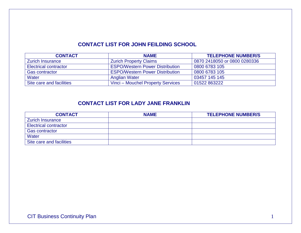#### **CONTACT LIST FOR JOHN FEILDING SCHOOL**

| <b>CONTACT</b>               | <b>NAME</b>                            | <b>TELEPHONE NUMBER/S</b>    |
|------------------------------|----------------------------------------|------------------------------|
| <b>Zurich Insurance</b>      | <b>Zurich Property Claims</b>          | 0870 2418050 or 0800 0280336 |
| <b>Electrical contractor</b> | <b>ESPO/Western Power Distribution</b> | 0800 6783 105                |
| <b>Gas contractor</b>        | <b>ESPO/Western Power Distribution</b> | 0800 6783 105                |
| <b>Water</b>                 | <b>Anglian Water</b>                   | 03457 145 145                |
| Site care and facilities     | Vinci – Mouchel Property Services      | 01522863222                  |

#### **CONTACT LIST FOR LADY JANE FRANKLIN**

| <b>CONTACT</b>               | <b>NAME</b> | <b>TELEPHONE NUMBER/S</b> |
|------------------------------|-------------|---------------------------|
| <b>Zurich Insurance</b>      |             |                           |
| <b>Electrical contractor</b> |             |                           |
| <b>Gas contractor</b>        |             |                           |
| Water                        |             |                           |
| Site care and facilities     |             |                           |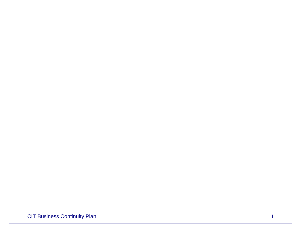**CIT Business Continuity Plan** 1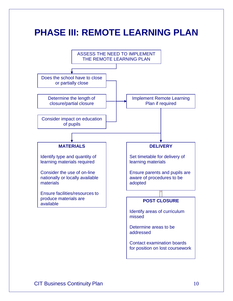### **PHASE III: REMOTE LEARNING PLAN**